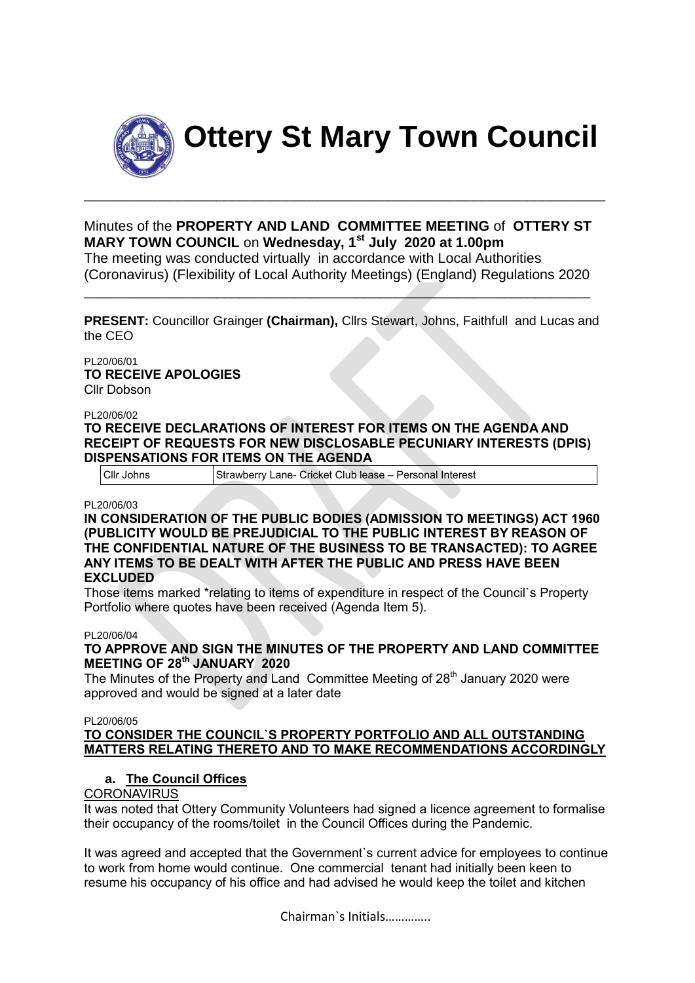

**Ottery St Mary Town Council**

Minutes of the **PROPERTY AND LAND COMMITTEE MEETING** of **OTTERY ST MARY TOWN COUNCIL** on **Wednesday, 1st July 2020 at 1.00pm** The meeting was conducted virtually in accordance with Local Authorities (Coronavirus) (Flexibility of Local Authority Meetings) (England) Regulations 2020

\_\_\_\_\_\_\_\_\_\_\_\_\_\_\_\_\_\_\_\_\_\_\_\_\_\_\_\_\_\_\_\_\_\_\_\_\_\_\_\_\_\_\_\_\_\_\_\_\_\_\_\_\_\_\_\_\_\_\_\_\_\_\_\_\_

\_\_\_\_\_\_\_\_\_\_\_\_\_\_\_\_\_\_\_\_\_\_\_\_\_\_\_\_\_\_\_\_\_\_\_\_\_\_\_\_\_\_\_\_\_\_\_\_\_\_\_\_\_\_\_\_\_\_\_\_\_\_\_\_\_\_\_

**PRESENT:** Councillor Grainger **(Chairman),** Cllrs Stewart, Johns, Faithfull and Lucas and the CEO

PL20/06/01 **TO RECEIVE APOLOGIES** Cllr Dobson

#### PL20/06/02

**TO RECEIVE DECLARATIONS OF INTEREST FOR ITEMS ON THE AGENDA AND RECEIPT OF REQUESTS FOR NEW DISCLOSABLE PECUNIARY INTERESTS (DPIS) DISPENSATIONS FOR ITEMS ON THE AGENDA**

Cllr Johns Strawberry Lane- Cricket Club lease – Personal Interest

PL20/06/03

**IN CONSIDERATION OF THE PUBLIC BODIES (ADMISSION TO MEETINGS) ACT 1960 (PUBLICITY WOULD BE PREJUDICIAL TO THE PUBLIC INTEREST BY REASON OF THE CONFIDENTIAL NATURE OF THE BUSINESS TO BE TRANSACTED): TO AGREE ANY ITEMS TO BE DEALT WITH AFTER THE PUBLIC AND PRESS HAVE BEEN EXCLUDED**

Those items marked \*relating to items of expenditure in respect of the Council`s Property Portfolio where quotes have been received (Agenda Item 5).

#### PL20/06/04

**TO APPROVE AND SIGN THE MINUTES OF THE PROPERTY AND LAND COMMITTEE MEETING OF 28th JANUARY 2020**

The Minutes of the Property and Land Committee Meeting of 28<sup>th</sup> January 2020 were approved and would be signed at a later date

PL20/06/05

## **TO CONSIDER THE COUNCIL`S PROPERTY PORTFOLIO AND ALL OUTSTANDING MATTERS RELATING THERETO AND TO MAKE RECOMMENDATIONS ACCORDINGLY**

## **a. The Council Offices**

## **CORONAVIRUS**

It was noted that Ottery Community Volunteers had signed a licence agreement to formalise their occupancy of the rooms/toilet in the Council Offices during the Pandemic.

It was agreed and accepted that the Government`s current advice for employees to continue to work from home would continue. One commercial tenant had initially been keen to resume his occupancy of his office and had advised he would keep the toilet and kitchen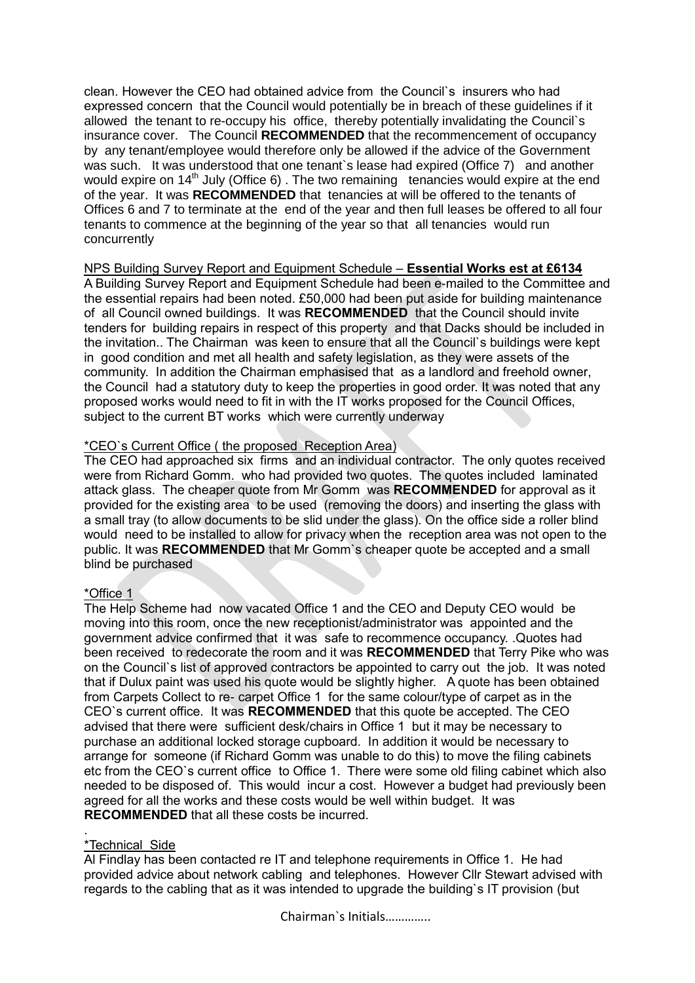clean. However the CEO had obtained advice from the Council`s insurers who had expressed concern that the Council would potentially be in breach of these guidelines if it allowed the tenant to re-occupy his office, thereby potentially invalidating the Council`s insurance cover. The Council **RECOMMENDED** that the recommencement of occupancy by any tenant/employee would therefore only be allowed if the advice of the Government was such. It was understood that one tenant's lease had expired (Office 7) and another would expire on 14<sup>th</sup> July (Office 6). The two remaining tenancies would expire at the end of the year. It was **RECOMMENDED** that tenancies at will be offered to the tenants of Offices 6 and 7 to terminate at the end of the year and then full leases be offered to all four tenants to commence at the beginning of the year so that all tenancies would run concurrently

## NPS Building Survey Report and Equipment Schedule – **Essential Works est at £6134**

A Building Survey Report and Equipment Schedule had been e-mailed to the Committee and the essential repairs had been noted. £50,000 had been put aside for building maintenance of all Council owned buildings. It was **RECOMMENDED** that the Council should invite tenders for building repairs in respect of this property and that Dacks should be included in the invitation.. The Chairman was keen to ensure that all the Council`s buildings were kept in good condition and met all health and safety legislation, as they were assets of the community. In addition the Chairman emphasised that as a landlord and freehold owner, the Council had a statutory duty to keep the properties in good order. It was noted that any proposed works would need to fit in with the IT works proposed for the Council Offices, subject to the current BT works which were currently underway

## \*CEO`s Current Office ( the proposed Reception Area)

The CEO had approached six firms and an individual contractor. The only quotes received were from Richard Gomm. who had provided two quotes. The quotes included laminated attack glass. The cheaper quote from Mr Gomm was **RECOMMENDED** for approval as it provided for the existing area to be used (removing the doors) and inserting the glass with a small tray (to allow documents to be slid under the glass). On the office side a roller blind would need to be installed to allow for privacy when the reception area was not open to the public. It was **RECOMMENDED** that Mr Gomm`s cheaper quote be accepted and a small blind be purchased

## \*Office 1

The Help Scheme had now vacated Office 1 and the CEO and Deputy CEO would be moving into this room, once the new receptionist/administrator was appointed and the government advice confirmed that it was safe to recommence occupancy. .Quotes had been received to redecorate the room and it was **RECOMMENDED** that Terry Pike who was on the Council`s list of approved contractors be appointed to carry out the job. It was noted that if Dulux paint was used his quote would be slightly higher. A quote has been obtained from Carpets Collect to re- carpet Office 1 for the same colour/type of carpet as in the CEO`s current office. It was **RECOMMENDED** that this quote be accepted. The CEO advised that there were sufficient desk/chairs in Office 1 but it may be necessary to purchase an additional locked storage cupboard. In addition it would be necessary to arrange for someone (if Richard Gomm was unable to do this) to move the filing cabinets etc from the CEO`s current office to Office 1. There were some old filing cabinet which also needed to be disposed of. This would incur a cost. However a budget had previously been agreed for all the works and these costs would be well within budget. It was **RECOMMENDED** that all these costs be incurred.

#### \*Technical Side

.

Al Findlay has been contacted re IT and telephone requirements in Office 1. He had provided advice about network cabling and telephones. However Cllr Stewart advised with regards to the cabling that as it was intended to upgrade the building`s IT provision (but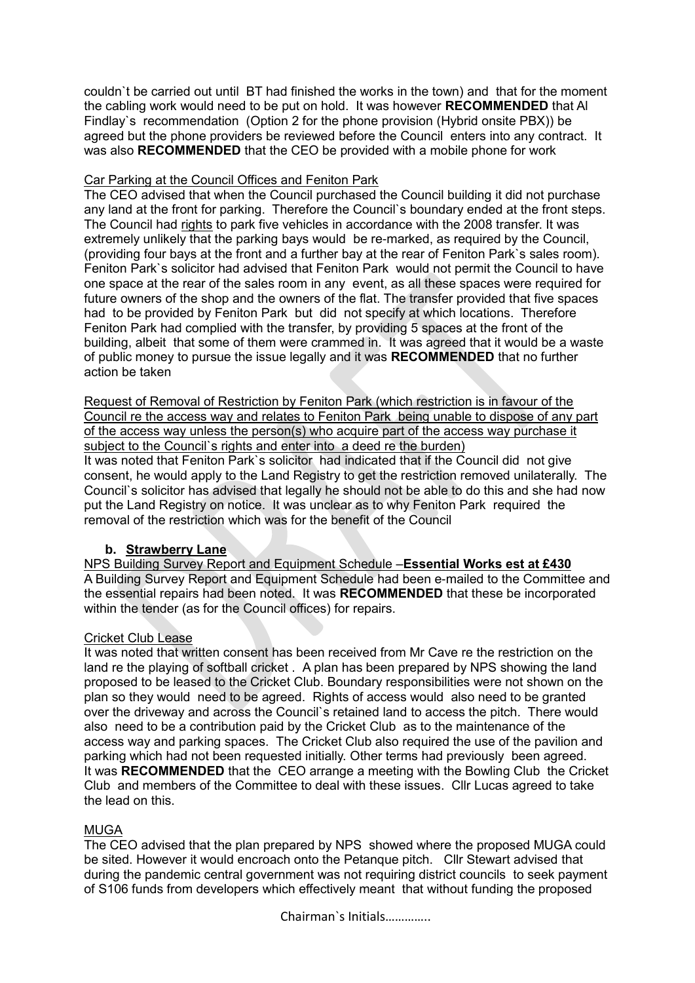couldn`t be carried out until BT had finished the works in the town) and that for the moment the cabling work would need to be put on hold. It was however **RECOMMENDED** that Al Findlay`s recommendation (Option 2 for the phone provision (Hybrid onsite PBX)) be agreed but the phone providers be reviewed before the Council enters into any contract. It was also **RECOMMENDED** that the CEO be provided with a mobile phone for work

## Car Parking at the Council Offices and Feniton Park

The CEO advised that when the Council purchased the Council building it did not purchase any land at the front for parking. Therefore the Council`s boundary ended at the front steps. The Council had rights to park five vehicles in accordance with the 2008 transfer. It was extremely unlikely that the parking bays would be re-marked, as required by the Council, (providing four bays at the front and a further bay at the rear of Feniton Park`s sales room). Feniton Park`s solicitor had advised that Feniton Park would not permit the Council to have one space at the rear of the sales room in any event, as all these spaces were required for future owners of the shop and the owners of the flat. The transfer provided that five spaces had to be provided by Feniton Park but did not specify at which locations. Therefore Feniton Park had complied with the transfer, by providing 5 spaces at the front of the building, albeit that some of them were crammed in. It was agreed that it would be a waste of public money to pursue the issue legally and it was **RECOMMENDED** that no further action be taken

Request of Removal of Restriction by Feniton Park (which restriction is in favour of the Council re the access way and relates to Feniton Park being unable to dispose of any part of the access way unless the person(s) who acquire part of the access way purchase it subject to the Council's rights and enter into a deed re the burden) It was noted that Feniton Park`s solicitor had indicated that if the Council did not give consent, he would apply to the Land Registry to get the restriction removed unilaterally. The Council`s solicitor has advised that legally he should not be able to do this and she had now put the Land Registry on notice. It was unclear as to why Feniton Park required the removal of the restriction which was for the benefit of the Council

## **b. Strawberry Lane**

NPS Building Survey Report and Equipment Schedule –**Essential Works est at £430** A Building Survey Report and Equipment Schedule had been e-mailed to the Committee and the essential repairs had been noted. It was **RECOMMENDED** that these be incorporated within the tender (as for the Council offices) for repairs.

## Cricket Club Lease

It was noted that written consent has been received from Mr Cave re the restriction on the land re the playing of softball cricket . A plan has been prepared by NPS showing the land proposed to be leased to the Cricket Club. Boundary responsibilities were not shown on the plan so they would need to be agreed. Rights of access would also need to be granted over the driveway and across the Council`s retained land to access the pitch. There would also need to be a contribution paid by the Cricket Club as to the maintenance of the access way and parking spaces. The Cricket Club also required the use of the pavilion and parking which had not been requested initially. Other terms had previously been agreed. It was **RECOMMENDED** that the CEO arrange a meeting with the Bowling Club the Cricket Club and members of the Committee to deal with these issues. Cllr Lucas agreed to take the lead on this.

## **MUGA**

The CEO advised that the plan prepared by NPS showed where the proposed MUGA could be sited. However it would encroach onto the Petanque pitch. Cllr Stewart advised that during the pandemic central government was not requiring district councils to seek payment of S106 funds from developers which effectively meant that without funding the proposed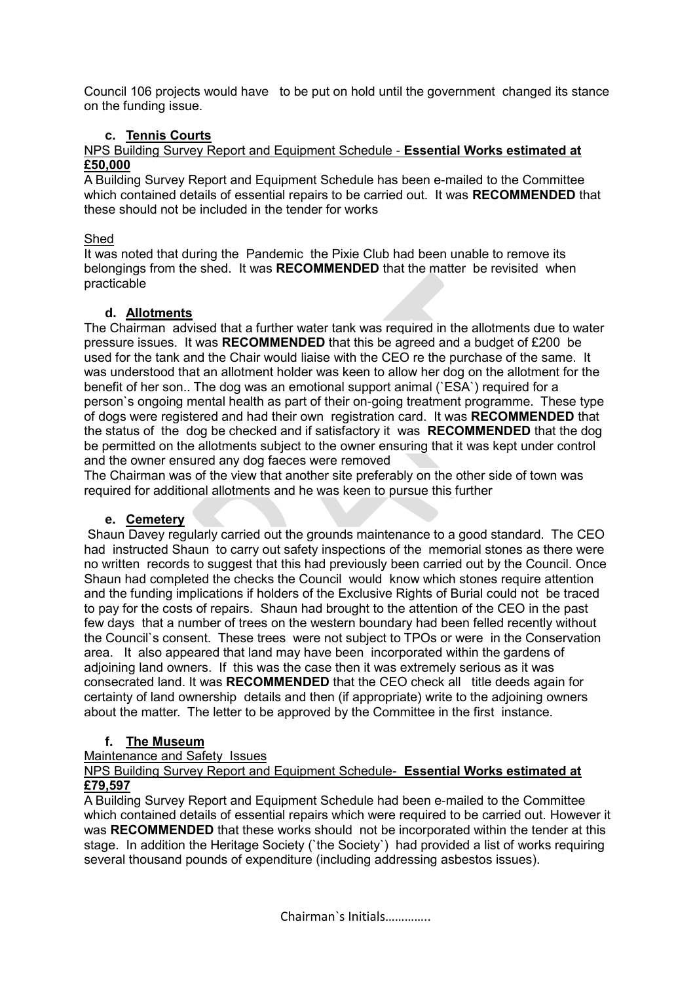Council 106 projects would have to be put on hold until the government changed its stance on the funding issue.

# **c. Tennis Courts**

## NPS Building Survey Report and Equipment Schedule - **Essential Works estimated at £50,000**

A Building Survey Report and Equipment Schedule has been e-mailed to the Committee which contained details of essential repairs to be carried out. It was **RECOMMENDED** that these should not be included in the tender for works

## Shed

It was noted that during the Pandemic the Pixie Club had been unable to remove its belongings from the shed. It was **RECOMMENDED** that the matter be revisited when practicable

## **d. Allotments**

The Chairman advised that a further water tank was required in the allotments due to water pressure issues. It was **RECOMMENDED** that this be agreed and a budget of £200 be used for the tank and the Chair would liaise with the CEO re the purchase of the same. It was understood that an allotment holder was keen to allow her dog on the allotment for the benefit of her son.. The dog was an emotional support animal (`ESA`) required for a person`s ongoing mental health as part of their on-going treatment programme. These type of dogs were registered and had their own registration card. It was **RECOMMENDED** that the status of the dog be checked and if satisfactory it was **RECOMMENDED** that the dog be permitted on the allotments subject to the owner ensuring that it was kept under control and the owner ensured any dog faeces were removed

The Chairman was of the view that another site preferably on the other side of town was required for additional allotments and he was keen to pursue this further

## **e. Cemetery**

Shaun Davey regularly carried out the grounds maintenance to a good standard. The CEO had instructed Shaun to carry out safety inspections of the memorial stones as there were no written records to suggest that this had previously been carried out by the Council. Once Shaun had completed the checks the Council would know which stones require attention and the funding implications if holders of the Exclusive Rights of Burial could not be traced to pay for the costs of repairs. Shaun had brought to the attention of the CEO in the past few days that a number of trees on the western boundary had been felled recently without the Council`s consent. These trees were not subject to TPOs or were in the Conservation area. It also appeared that land may have been incorporated within the gardens of adjoining land owners. If this was the case then it was extremely serious as it was consecrated land. It was **RECOMMENDED** that the CEO check all title deeds again for certainty of land ownership details and then (if appropriate) write to the adjoining owners about the matter. The letter to be approved by the Committee in the first instance.

## **f. The Museum**

#### Maintenance and Safety Issues

## NPS Building Survey Report and Equipment Schedule- **Essential Works estimated at £79,597**

A Building Survey Report and Equipment Schedule had been e-mailed to the Committee which contained details of essential repairs which were required to be carried out. However it was **RECOMMENDED** that these works should not be incorporated within the tender at this stage. In addition the Heritage Society (`the Society`) had provided a list of works requiring several thousand pounds of expenditure (including addressing asbestos issues).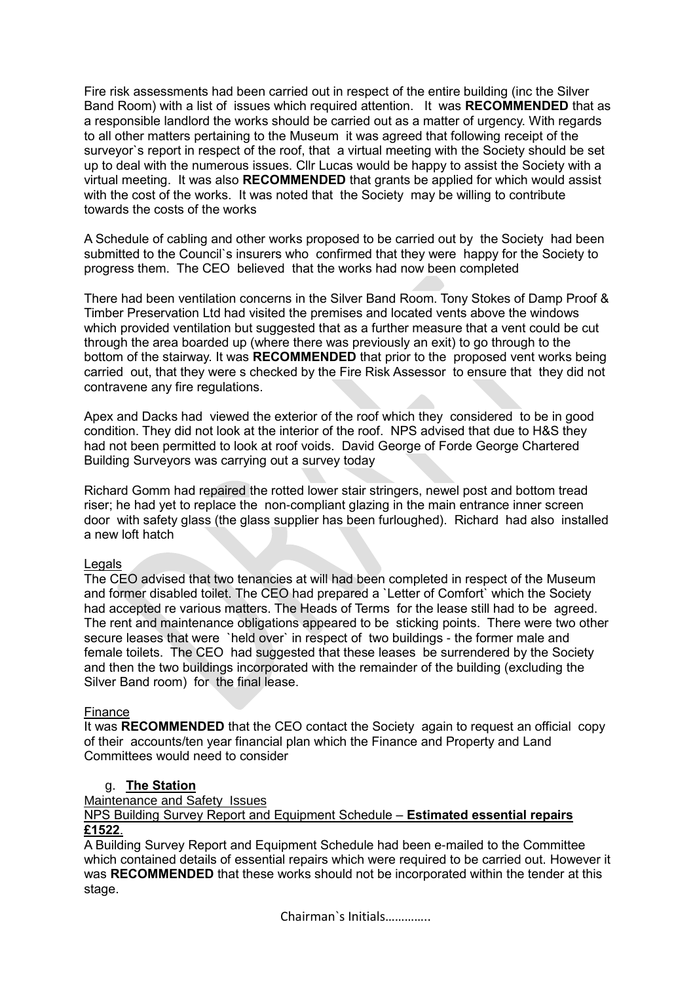Fire risk assessments had been carried out in respect of the entire building (inc the Silver Band Room) with a list of issues which required attention. It was **RECOMMENDED** that as a responsible landlord the works should be carried out as a matter of urgency. With regards to all other matters pertaining to the Museum it was agreed that following receipt of the surveyor's report in respect of the roof, that a virtual meeting with the Society should be set up to deal with the numerous issues. Cllr Lucas would be happy to assist the Society with a virtual meeting. It was also **RECOMMENDED** that grants be applied for which would assist with the cost of the works. It was noted that the Society may be willing to contribute towards the costs of the works

A Schedule of cabling and other works proposed to be carried out by the Society had been submitted to the Council`s insurers who confirmed that they were happy for the Society to progress them. The CEO believed that the works had now been completed

There had been ventilation concerns in the Silver Band Room. Tony Stokes of Damp Proof & Timber Preservation Ltd had visited the premises and located vents above the windows which provided ventilation but suggested that as a further measure that a vent could be cut through the area boarded up (where there was previously an exit) to go through to the bottom of the stairway. It was **RECOMMENDED** that prior to the proposed vent works being carried out, that they were s checked by the Fire Risk Assessor to ensure that they did not contravene any fire regulations.

Apex and Dacks had viewed the exterior of the roof which they considered to be in good condition. They did not look at the interior of the roof. NPS advised that due to H&S they had not been permitted to look at roof voids. David George of Forde George Chartered Building Surveyors was carrying out a survey today

Richard Gomm had repaired the rotted lower stair stringers, newel post and bottom tread riser; he had yet to replace the non-compliant glazing in the main entrance inner screen door with safety glass (the glass supplier has been furloughed). Richard had also installed a new loft hatch

#### Legals

The CEO advised that two tenancies at will had been completed in respect of the Museum and former disabled toilet. The CEO had prepared a `Letter of Comfort` which the Society had accepted re various matters. The Heads of Terms for the lease still had to be agreed. The rent and maintenance obligations appeared to be sticking points. There were two other secure leases that were `held over` in respect of two buildings - the former male and female toilets. The CEO had suggested that these leases be surrendered by the Society and then the two buildings incorporated with the remainder of the building (excluding the Silver Band room) for the final lease.

#### Finance

It was **RECOMMENDED** that the CEO contact the Society again to request an official copy of their accounts/ten year financial plan which the Finance and Property and Land Committees would need to consider

## g. **The Station**

#### Maintenance and Safety Issues

NPS Building Survey Report and Equipment Schedule – **Estimated essential repairs £1522**.

A Building Survey Report and Equipment Schedule had been e-mailed to the Committee which contained details of essential repairs which were required to be carried out. However it was **RECOMMENDED** that these works should not be incorporated within the tender at this stage.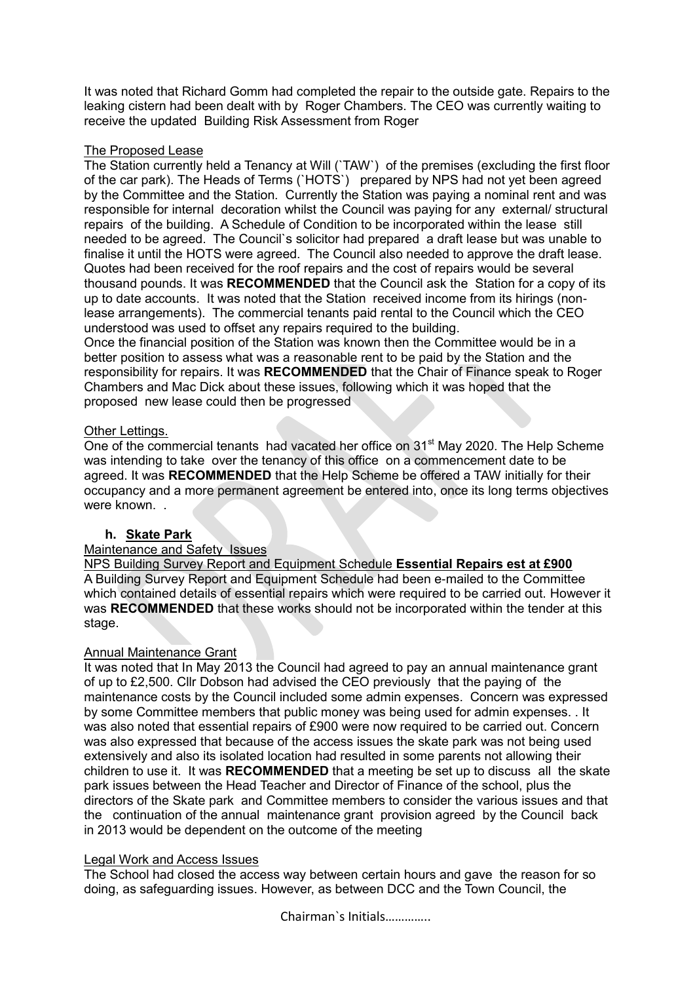It was noted that Richard Gomm had completed the repair to the outside gate. Repairs to the leaking cistern had been dealt with by Roger Chambers. The CEO was currently waiting to receive the updated Building Risk Assessment from Roger

## The Proposed Lease

The Station currently held a Tenancy at Will (`TAW`) of the premises (excluding the first floor of the car park). The Heads of Terms (`HOTS`) prepared by NPS had not yet been agreed by the Committee and the Station. Currently the Station was paying a nominal rent and was responsible for internal decoration whilst the Council was paying for any external/ structural repairs of the building. A Schedule of Condition to be incorporated within the lease still needed to be agreed. The Council`s solicitor had prepared a draft lease but was unable to finalise it until the HOTS were agreed. The Council also needed to approve the draft lease. Quotes had been received for the roof repairs and the cost of repairs would be several thousand pounds. It was **RECOMMENDED** that the Council ask the Station for a copy of its up to date accounts. It was noted that the Station received income from its hirings (nonlease arrangements). The commercial tenants paid rental to the Council which the CEO understood was used to offset any repairs required to the building.

Once the financial position of the Station was known then the Committee would be in a better position to assess what was a reasonable rent to be paid by the Station and the responsibility for repairs. It was **RECOMMENDED** that the Chair of Finance speak to Roger Chambers and Mac Dick about these issues, following which it was hoped that the proposed new lease could then be progressed

## Other Lettings.

One of the commercial tenants had vacated her office on 31<sup>st</sup> May 2020. The Help Scheme was intending to take over the tenancy of this office on a commencement date to be agreed. It was **RECOMMENDED** that the Help Scheme be offered a TAW initially for their occupancy and a more permanent agreement be entered into, once its long terms objectives were known...

## **h. Skate Park**

# Maintenance and Safety Issues

NPS Building Survey Report and Equipment Schedule **Essential Repairs est at £900** A Building Survey Report and Equipment Schedule had been e-mailed to the Committee which contained details of essential repairs which were required to be carried out. However it was **RECOMMENDED** that these works should not be incorporated within the tender at this stage.

#### Annual Maintenance Grant

It was noted that In May 2013 the Council had agreed to pay an annual maintenance grant of up to £2,500. Cllr Dobson had advised the CEO previously that the paying of the maintenance costs by the Council included some admin expenses. Concern was expressed by some Committee members that public money was being used for admin expenses. . It was also noted that essential repairs of £900 were now required to be carried out. Concern was also expressed that because of the access issues the skate park was not being used extensively and also its isolated location had resulted in some parents not allowing their children to use it. It was **RECOMMENDED** that a meeting be set up to discuss all the skate park issues between the Head Teacher and Director of Finance of the school, plus the directors of the Skate park and Committee members to consider the various issues and that the continuation of the annual maintenance grant provision agreed by the Council back in 2013 would be dependent on the outcome of the meeting

#### Legal Work and Access Issues

The School had closed the access way between certain hours and gave the reason for so doing, as safeguarding issues. However, as between DCC and the Town Council, the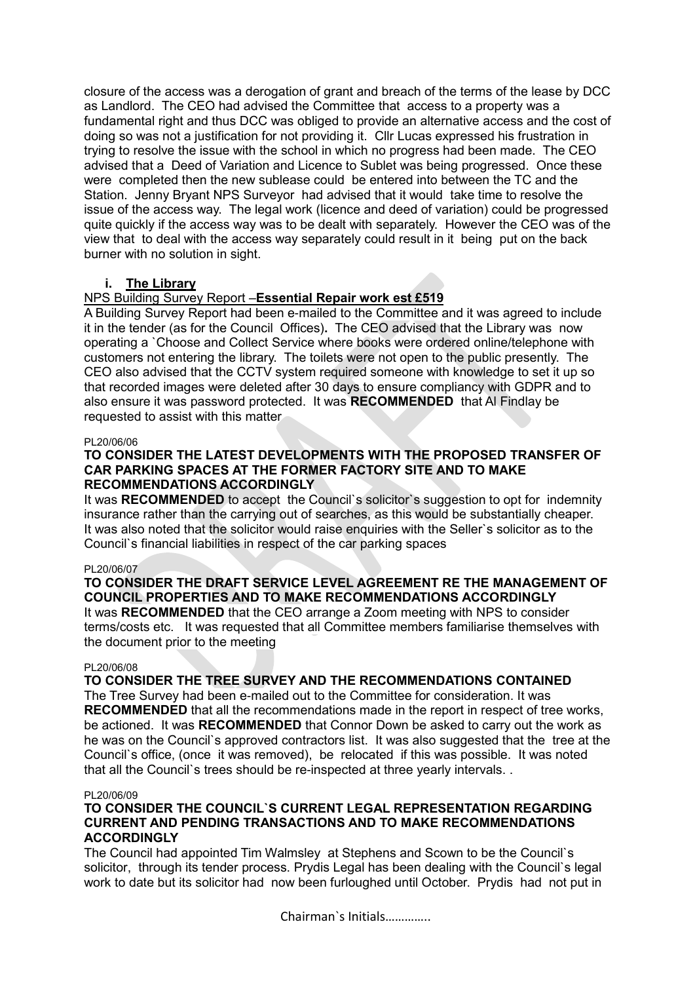closure of the access was a derogation of grant and breach of the terms of the lease by DCC as Landlord. The CEO had advised the Committee that access to a property was a fundamental right and thus DCC was obliged to provide an alternative access and the cost of doing so was not a justification for not providing it. Cllr Lucas expressed his frustration in trying to resolve the issue with the school in which no progress had been made. The CEO advised that a Deed of Variation and Licence to Sublet was being progressed. Once these were completed then the new sublease could be entered into between the TC and the Station. Jenny Bryant NPS Surveyor had advised that it would take time to resolve the issue of the access way. The legal work (licence and deed of variation) could be progressed quite quickly if the access way was to be dealt with separately. However the CEO was of the view that to deal with the access way separately could result in it being put on the back burner with no solution in sight.

# **i. The Library**

## NPS Building Survey Report –**Essential Repair work est £519**

A Building Survey Report had been e-mailed to the Committee and it was agreed to include it in the tender (as for the Council Offices)**.** The CEO advised that the Library was now operating a `Choose and Collect Service where books were ordered online/telephone with customers not entering the library. The toilets were not open to the public presently. The CEO also advised that the CCTV system required someone with knowledge to set it up so that recorded images were deleted after 30 days to ensure compliancy with GDPR and to also ensure it was password protected. It was **RECOMMENDED** that Al Findlay be requested to assist with this matter

#### PL20/06/06

## **TO CONSIDER THE LATEST DEVELOPMENTS WITH THE PROPOSED TRANSFER OF CAR PARKING SPACES AT THE FORMER FACTORY SITE AND TO MAKE RECOMMENDATIONS ACCORDINGLY**

It was **RECOMMENDED** to accept the Council`s solicitor`s suggestion to opt for indemnity insurance rather than the carrying out of searches, as this would be substantially cheaper. It was also noted that the solicitor would raise enquiries with the Seller`s solicitor as to the Council`s financial liabilities in respect of the car parking spaces

#### PL20/06/07

# **TO CONSIDER THE DRAFT SERVICE LEVEL AGREEMENT RE THE MANAGEMENT OF COUNCIL PROPERTIES AND TO MAKE RECOMMENDATIONS ACCORDINGLY**

It was **RECOMMENDED** that the CEO arrange a Zoom meeting with NPS to consider terms/costs etc. It was requested that all Committee members familiarise themselves with the document prior to the meeting

## PL20/06/08

# **TO CONSIDER THE TREE SURVEY AND THE RECOMMENDATIONS CONTAINED**

The Tree Survey had been e-mailed out to the Committee for consideration. It was **RECOMMENDED** that all the recommendations made in the report in respect of tree works. be actioned. It was **RECOMMENDED** that Connor Down be asked to carry out the work as he was on the Council`s approved contractors list. It was also suggested that the tree at the Council`s office, (once it was removed), be relocated if this was possible. It was noted that all the Council`s trees should be re-inspected at three yearly intervals. .

#### PL20/06/09

## **TO CONSIDER THE COUNCIL`S CURRENT LEGAL REPRESENTATION REGARDING CURRENT AND PENDING TRANSACTIONS AND TO MAKE RECOMMENDATIONS ACCORDINGLY**

The Council had appointed Tim Walmsley at Stephens and Scown to be the Council`s solicitor, through its tender process. Prydis Legal has been dealing with the Council`s legal work to date but its solicitor had now been furloughed until October. Prydis had not put in